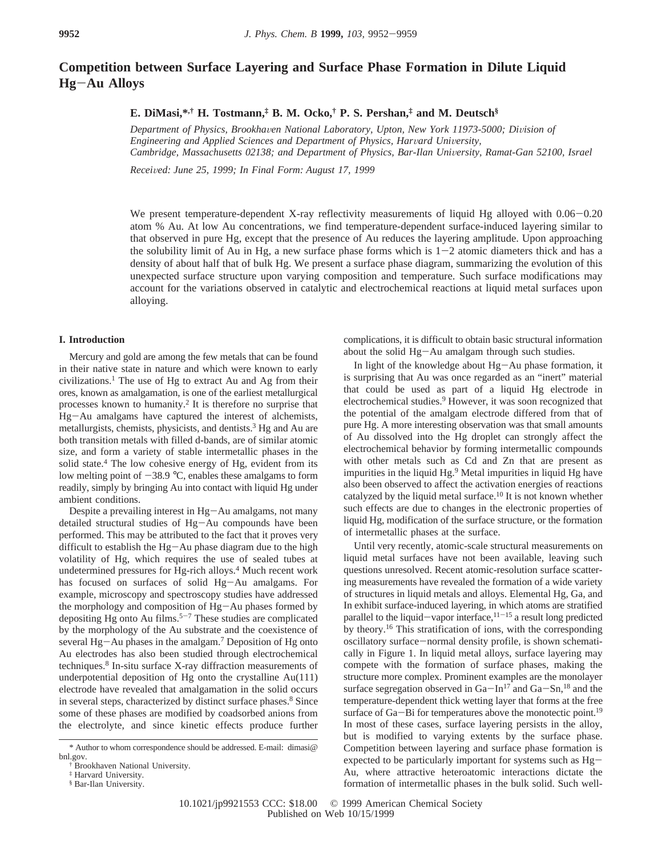# **Competition between Surface Layering and Surface Phase Formation in Dilute Liquid Hg**-**Au Alloys**

## **E. DiMasi,\*,† H. Tostmann,‡ B. M. Ocko,† P. S. Pershan,‡ and M. Deutsch§**

*Department of Physics, Brookha*V*en National Laboratory, Upton, New York 11973-5000; Di*V*ision of Engineering and Applied Sciences and Department of Physics, Harvard University, Cambridge, Massachusetts 02138; and Department of Physics, Bar-Ilan Uni*V*ersity, Ramat-Gan 52100, Israel*

*Recei*V*ed: June 25, 1999; In Final Form: August 17, 1999*

We present temperature-dependent X-ray reflectivity measurements of liquid Hg alloyed with  $0.06-0.20$ atom % Au. At low Au concentrations, we find temperature-dependent surface-induced layering similar to that observed in pure Hg, except that the presence of Au reduces the layering amplitude. Upon approaching the solubility limit of Au in Hg, a new surface phase forms which is  $1-2$  atomic diameters thick and has a density of about half that of bulk Hg. We present a surface phase diagram, summarizing the evolution of this unexpected surface structure upon varying composition and temperature. Such surface modifications may account for the variations observed in catalytic and electrochemical reactions at liquid metal surfaces upon alloying.

## **I. Introduction**

Mercury and gold are among the few metals that can be found in their native state in nature and which were known to early civilizations.<sup>1</sup> The use of Hg to extract Au and Ag from their ores, known as amalgamation, is one of the earliest metallurgical processes known to humanity.2 It is therefore no surprise that Hg-Au amalgams have captured the interest of alchemists, metallurgists, chemists, physicists, and dentists.3 Hg and Au are both transition metals with filled d-bands, are of similar atomic size, and form a variety of stable intermetallic phases in the solid state.<sup>4</sup> The low cohesive energy of Hg, evident from its low melting point of  $-38.9$  °C, enables these amalgams to form readily, simply by bringing Au into contact with liquid Hg under ambient conditions.

Despite a prevailing interest in Hg-Au amalgams, not many detailed structural studies of Hg-Au compounds have been performed. This may be attributed to the fact that it proves very difficult to establish the Hg-Au phase diagram due to the high volatility of Hg, which requires the use of sealed tubes at undetermined pressures for Hg-rich alloys.<sup>4</sup> Much recent work has focused on surfaces of solid Hg-Au amalgams. For example, microscopy and spectroscopy studies have addressed the morphology and composition of Hg-Au phases formed by depositing Hg onto Au films.<sup>5-7</sup> These studies are complicated by the morphology of the Au substrate and the coexistence of several Hg-Au phases in the amalgam.<sup>7</sup> Deposition of Hg onto Au electrodes has also been studied through electrochemical techniques.8 In-situ surface X-ray diffraction measurements of underpotential deposition of Hg onto the crystalline Au(111) electrode have revealed that amalgamation in the solid occurs in several steps, characterized by distinct surface phases.<sup>8</sup> Since some of these phases are modified by coadsorbed anions from the electrolyte, and since kinetic effects produce further

complications, it is difficult to obtain basic structural information about the solid Hg-Au amalgam through such studies.

In light of the knowledge about Hg-Au phase formation, it is surprising that Au was once regarded as an "inert" material that could be used as part of a liquid Hg electrode in electrochemical studies.<sup>9</sup> However, it was soon recognized that the potential of the amalgam electrode differed from that of pure Hg. A more interesting observation was that small amounts of Au dissolved into the Hg droplet can strongly affect the electrochemical behavior by forming intermetallic compounds with other metals such as Cd and Zn that are present as impurities in the liquid Hg.<sup>9</sup> Metal impurities in liquid Hg have also been observed to affect the activation energies of reactions catalyzed by the liquid metal surface.10 It is not known whether such effects are due to changes in the electronic properties of liquid Hg, modification of the surface structure, or the formation of intermetallic phases at the surface.

Until very recently, atomic-scale structural measurements on liquid metal surfaces have not been available, leaving such questions unresolved. Recent atomic-resolution surface scattering measurements have revealed the formation of a wide variety of structures in liquid metals and alloys. Elemental Hg, Ga, and In exhibit surface-induced layering, in which atoms are stratified parallel to the liquid-vapor interface, $11-15$  a result long predicted by theory.16 This stratification of ions, with the corresponding oscillatory surface-normal density profile, is shown schematically in Figure 1. In liquid metal alloys, surface layering may compete with the formation of surface phases, making the structure more complex. Prominent examples are the monolayer surface segregation observed in  $Ga-In^{17}$  and  $Ga-Sn$ ,<sup>18</sup> and the temperature-dependent thick wetting layer that forms at the free surface of Ga-Bi for temperatures above the monotectic point.<sup>19</sup> In most of these cases, surface layering persists in the alloy, but is modified to varying extents by the surface phase. Competition between layering and surface phase formation is expected to be particularly important for systems such as Hg-Au, where attractive heteroatomic interactions dictate the formation of intermetallic phases in the bulk solid. Such well-

<sup>\*</sup> Author to whom correspondence should be addressed. E-mail: dimasi@ bnl.gov.

<sup>†</sup> Brookhaven National University.

<sup>‡</sup> Harvard University.

<sup>§</sup> Bar-Ilan University.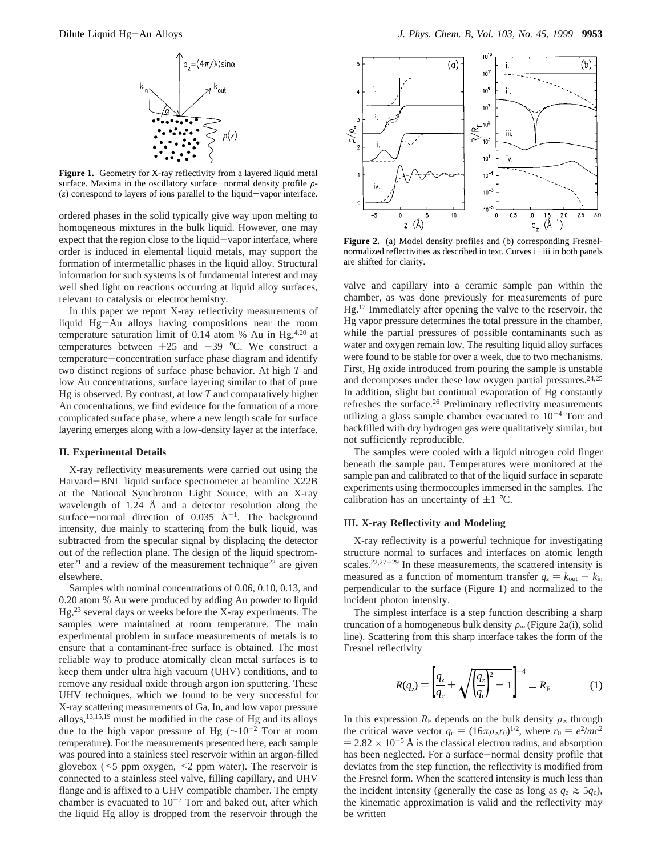

Figure 1. Geometry for X-ray reflectivity from a layered liquid metal surface. Maxima in the oscillatory surface-normal density profile  $\rho$ -(*z*) correspond to layers of ions parallel to the liquid-vapor interface.

ordered phases in the solid typically give way upon melting to homogeneous mixtures in the bulk liquid. However, one may expect that the region close to the liquid-vapor interface, where order is induced in elemental liquid metals, may support the formation of intermetallic phases in the liquid alloy. Structural information for such systems is of fundamental interest and may well shed light on reactions occurring at liquid alloy surfaces, relevant to catalysis or electrochemistry.

In this paper we report X-ray reflectivity measurements of liquid Hg-Au alloys having compositions near the room temperature saturation limit of 0.14 atom % Au in Hg, $4.20$  at temperatures between  $+25$  and  $-39$  °C. We construct a temperature-concentration surface phase diagram and identify two distinct regions of surface phase behavior. At high *T* and low Au concentrations, surface layering similar to that of pure Hg is observed. By contrast, at low *T* and comparatively higher Au concentrations, we find evidence for the formation of a more complicated surface phase, where a new length scale for surface layering emerges along with a low-density layer at the interface.

### **II. Experimental Details**

X-ray reflectivity measurements were carried out using the Harvard-BNL liquid surface spectrometer at beamline X22B at the National Synchrotron Light Source, with an X-ray wavelength of 1.24 Å and a detector resolution along the surface-normal direction of 0.035  $\AA^{-1}$ . The background intensity, due mainly to scattering from the bulk liquid, was subtracted from the specular signal by displacing the detector out of the reflection plane. The design of the liquid spectrometer<sup>21</sup> and a review of the measurement technique<sup>22</sup> are given elsewhere.

Samples with nominal concentrations of 0.06, 0.10, 0.13, and 0.20 atom % Au were produced by adding Au powder to liquid Hg,23 several days or weeks before the X-ray experiments. The samples were maintained at room temperature. The main experimental problem in surface measurements of metals is to ensure that a contaminant-free surface is obtained. The most reliable way to produce atomically clean metal surfaces is to keep them under ultra high vacuum (UHV) conditions, and to remove any residual oxide through argon ion sputtering. These UHV techniques, which we found to be very successful for X-ray scattering measurements of Ga, In, and low vapor pressure alloys,13,15,19 must be modified in the case of Hg and its alloys due to the high vapor pressure of Hg ( $\sim 10^{-2}$  Torr at room temperature). For the measurements presented here, each sample was poured into a stainless steel reservoir within an argon-filled glovebox  $(5 \text{ ppm oxygen}, 52 \text{ ppm water})$ . The reservoir is connected to a stainless steel valve, filling capillary, and UHV flange and is affixed to a UHV compatible chamber. The empty chamber is evacuated to  $10^{-7}$  Torr and baked out, after which the liquid Hg alloy is dropped from the reservoir through the



**Figure 2.** (a) Model density profiles and (b) corresponding Fresnelnormalized reflectivities as described in text. Curves i-iii in both panels are shifted for clarity.

valve and capillary into a ceramic sample pan within the chamber, as was done previously for measurements of pure Hg.12 Immediately after opening the valve to the reservoir, the Hg vapor pressure determines the total pressure in the chamber, while the partial pressures of possible contaminants such as water and oxygen remain low. The resulting liquid alloy surfaces were found to be stable for over a week, due to two mechanisms. First, Hg oxide introduced from pouring the sample is unstable and decomposes under these low oxygen partial pressures.<sup>24,25</sup> In addition, slight but continual evaporation of Hg constantly refreshes the surface.26 Preliminary reflectivity measurements utilizing a glass sample chamber evacuated to  $10^{-4}$  Torr and backfilled with dry hydrogen gas were qualitatively similar, but not sufficiently reproducible.

The samples were cooled with a liquid nitrogen cold finger beneath the sample pan. Temperatures were monitored at the sample pan and calibrated to that of the liquid surface in separate experiments using thermocouples immersed in the samples. The calibration has an uncertainty of  $\pm 1$  °C.

## **III. X-ray Reflectivity and Modeling**

X-ray reflectivity is a powerful technique for investigating structure normal to surfaces and interfaces on atomic length scales.<sup>22,27-29</sup> In these measurements, the scattered intensity is measured as a function of momentum transfer  $q_z = k_{\text{out}} - k_{\text{in}}$ perpendicular to the surface (Figure 1) and normalized to the incident photon intensity.

The simplest interface is a step function describing a sharp truncation of a homogeneous bulk density  $\rho_{\infty}$  (Figure 2a(i), solid line). Scattering from this sharp interface takes the form of the Fresnel reflectivity

$$
R(q_z) = \left[\frac{q_z}{q_c} + \sqrt{\left(\frac{q_z}{q_c}\right)^2 - 1}\right]^{-4} \equiv R_{\rm F} \tag{1}
$$

In this expression  $R_F$  depends on the bulk density  $\rho_{\infty}$  through the critical wave vector  $q_c = (16\pi\rho_{\infty}r_0)^{1/2}$ , where  $r_0 = e^2/mc^2$  $= 2.82 \times 10^{-5}$  Å is the classical electron radius, and absorption has been neglected. For a surface-normal density profile that deviates from the step function, the reflectivity is modified from the Fresnel form. When the scattered intensity is much less than the incident intensity (generally the case as long as  $q_z \geq 5q_c$ ), the kinematic approximation is valid and the reflectivity may be written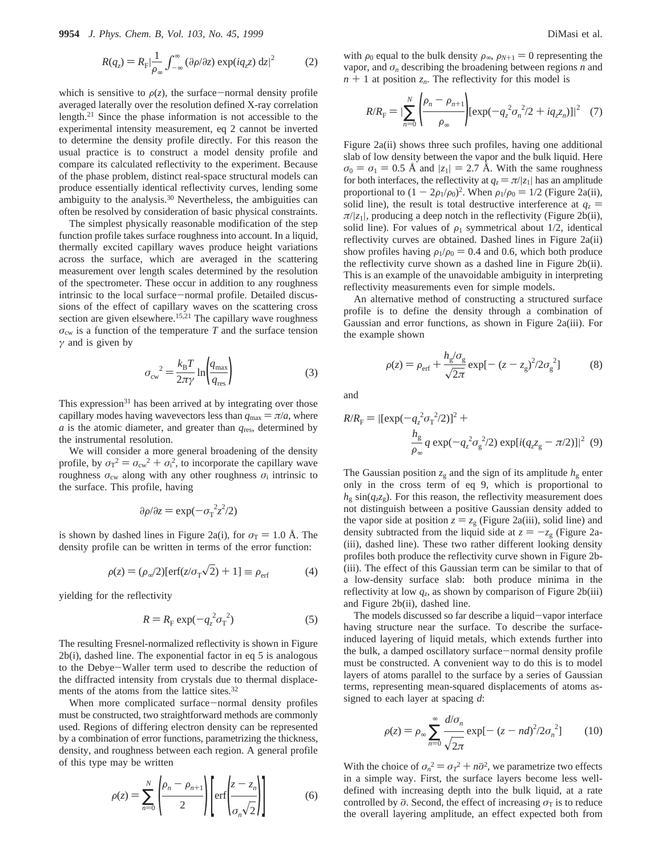$$
R(q_z) = R_{\rm F} |\frac{1}{\rho_{\infty}} \int_{-\infty}^{\infty} (\partial \rho / \partial z) \exp(i q_z z) dz|^2
$$
 (2)

which is sensitive to  $\rho(z)$ , the surface-normal density profile averaged laterally over the resolution defined X-ray correlation length.21 Since the phase information is not accessible to the experimental intensity measurement, eq 2 cannot be inverted to determine the density profile directly. For this reason the usual practice is to construct a model density profile and compare its calculated reflectivity to the experiment. Because of the phase problem, distinct real-space structural models can produce essentially identical reflectivity curves, lending some ambiguity to the analysis.<sup>30</sup> Nevertheless, the ambiguities can often be resolved by consideration of basic physical constraints.

The simplest physically reasonable modification of the step function profile takes surface roughness into account. In a liquid, thermally excited capillary waves produce height variations across the surface, which are averaged in the scattering measurement over length scales determined by the resolution of the spectrometer. These occur in addition to any roughness intrinsic to the local surface-normal profile. Detailed discussions of the effect of capillary waves on the scattering cross section are given elsewhere.<sup>15,21</sup> The capillary wave roughness  $\sigma_{\rm cw}$  is a function of the temperature *T* and the surface tension *γ* and is given by

$$
\sigma_{\rm cw}^2 = \frac{k_{\rm B}T}{2\pi\gamma} \ln \left( \frac{q_{\rm max}}{q_{\rm res}} \right) \tag{3}
$$

This expression<sup>31</sup> has been arrived at by integrating over those capillary modes having wavevectors less than  $q_{\text{max}} = \pi/a$ , where *a* is the atomic diameter, and greater than *q*res, determined by the instrumental resolution.

We will consider a more general broadening of the density profile, by  $\sigma_{\rm T}^2 = \sigma_{\rm cw}^2 + \sigma_{\rm i}^2$ , to incorporate the capillary wave<br>roughness  $\sigma_{\rm mv}$  along with any other roughness  $\sigma_{\rm i}$  intrinsic to roughness  $\sigma_{\text{cw}}$  along with any other roughness  $\sigma_i$  intrinsic to the surface. This profile, having

$$
\partial \rho / \partial z = \exp(-\sigma_{\rm T}^2 z^2 / 2)
$$

is shown by dashed lines in Figure 2a(i), for  $\sigma_{\rm T} = 1.0$  Å. The density profile can be written in terms of the error function:

$$
\rho(z) = (\rho_{\infty}/2)[\text{erf}(z/\sigma_{\text{T}}\sqrt{2}) + 1] \equiv \rho_{\text{erf}} \tag{4}
$$

yielding for the reflectivity

$$
R = R_{\rm F} \exp(-q_z^2 \sigma_{\rm T}^2)
$$
 (5)

The resulting Fresnel-normalized reflectivity is shown in Figure 2b(i), dashed line. The exponential factor in eq 5 is analogous to the Debye-Waller term used to describe the reduction of the diffracted intensity from crystals due to thermal displacements of the atoms from the lattice sites.<sup>32</sup>

When more complicated surface-normal density profiles must be constructed, two straightforward methods are commonly used. Regions of differing electron density can be represented by a combination of error functions, parametrizing the thickness, density, and roughness between each region. A general profile of this type may be written

$$
\rho(z) = \sum_{n=0}^{N} \left( \frac{\rho_n - \rho_{n+1}}{2} \right) \left[ \text{erf} \left( \frac{z - z_n}{\sigma_n \sqrt{2}} \right) \right] \tag{6}
$$

with  $\rho_0$  equal to the bulk density  $\rho_{\infty}$ ,  $\rho_{N+1} = 0$  representing the vapor, and *σ<sup>n</sup>* describing the broadening between regions *n* and  $n + 1$  at position  $z_n$ . The reflectivity for this model is

$$
R/R_{\rm F} = |\sum_{n=0}^{N} \left( \frac{\rho_n - \rho_{n+1}}{\rho_{\infty}} \right) [\exp(-q_z^2 \sigma_n^2 / 2 + i q_z z_n)]|^2 \quad (7)
$$

Figure 2a(ii) shows three such profiles, having one additional slab of low density between the vapor and the bulk liquid. Here  $\sigma_0 = \sigma_1 = 0.5$  Å and  $|z_1| = 2.7$  Å. With the same roughness for both interfaces, the reflectivity at  $q_z = \pi/|z_1|$  has an amplitude proportional to  $(1 - 2\rho_1/\rho_0)^2$ . When  $\rho_1/\rho_0 = 1/2$  (Figure 2a(ii), solid line), the result is total destructive interference at  $q_z$  $\pi/|z_1|$ , producing a deep notch in the reflectivity (Figure 2b(ii), solid line). For values of  $\rho_1$  symmetrical about 1/2, identical reflectivity curves are obtained. Dashed lines in Figure 2a(ii) show profiles having  $\rho_1/\rho_0 = 0.4$  and 0.6, which both produce the reflectivity curve shown as a dashed line in Figure 2b(ii). This is an example of the unavoidable ambiguity in interpreting reflectivity measurements even for simple models.

An alternative method of constructing a structured surface profile is to define the density through a combination of Gaussian and error functions, as shown in Figure 2a(iii). For the example shown

$$
\rho(z) = \rho_{\rm erf} + \frac{h_{\rm g}/\sigma_{\rm g}}{\sqrt{2\pi}} \exp[-(z - z_{\rm g})^2/2\sigma_{\rm g}^2] \tag{8}
$$

and

$$
R/R_{\rm F} = |[\exp(-q_z^2 \sigma_{\rm T}^2/2)]^2 +
$$
  

$$
\frac{h_{\rm g}}{\rho_{\rm \infty}} q \exp(-q_z^2 \sigma_{\rm g}^2/2) \exp[i(q_z z_{\rm g} - \pi/2)]|^2
$$
 (9)

The Gaussian position  $z_g$  and the sign of its amplitude  $h_g$  enter only in the cross term of eq 9, which is proportional to  $h_{\rm g}$  sin( $q_{z}z_{\rm g}$ ). For this reason, the reflectivity measurement does not distinguish between a positive Gaussian density added to the vapor side at position  $z = z_g$  (Figure 2a(iii), solid line) and density subtracted from the liquid side at  $z = -z_g$  (Figure 2a-(iii), dashed line). These two rather different looking density profiles both produce the reflectivity curve shown in Figure 2b- (iii). The effect of this Gaussian term can be similar to that of a low-density surface slab: both produce minima in the reflectivity at low  $q_z$ , as shown by comparison of Figure 2b(iii) and Figure 2b(ii), dashed line.

The models discussed so far describe a liquid-vapor interface having structure near the surface. To describe the surfaceinduced layering of liquid metals, which extends further into the bulk, a damped oscillatory surface-normal density profile must be constructed. A convenient way to do this is to model layers of atoms parallel to the surface by a series of Gaussian terms, representing mean-squared displacements of atoms assigned to each layer at spacing *d*:

$$
\rho(z) = \rho_{\infty} \sum_{n=0}^{\infty} \frac{d/\sigma_n}{\sqrt{2\pi}} \exp[-(z - nd)^2 / 2\sigma_n^2]
$$
(10)

With the choice of  $\sigma_n^2 = \sigma_T^2 + n\bar{\sigma}^2$ , we parametrize two effects<br>in a simple way. First, the surface layers become less wellin a simple way. First, the surface layers become less welldefined with increasing depth into the bulk liquid, at a rate controlled by  $\bar{\sigma}$ . Second, the effect of increasing  $\sigma_{\bar{T}}$  is to reduce the overall layering amplitude, an effect expected both from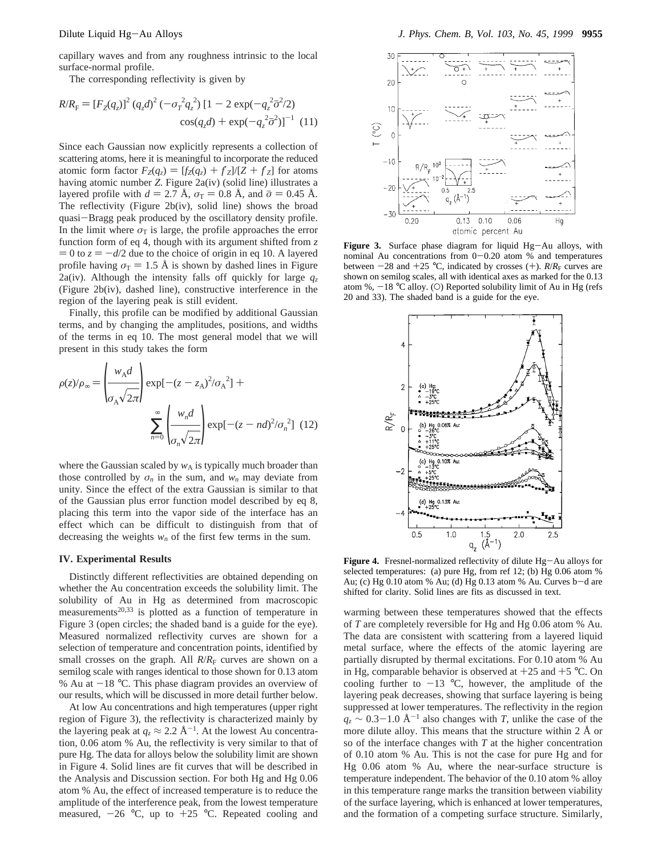capillary waves and from any roughness intrinsic to the local surface-normal profile.

The corresponding reflectivity is given by

$$
R/R_{\rm F} = [F_Z(q_z)]^2 (q_z d)^2 (-\sigma_T^2 q_z^2) [1 - 2 \exp(-q_z^2 \overline{\sigma}^2 / 2)
$$
  

$$
\cos(q_z d) + \exp(-q_z^2 \overline{\sigma}^2)]^{-1} (11)
$$

Since each Gaussian now explicitly represents a collection of scattering atoms, here it is meaningful to incorporate the reduced atomic form factor  $F_Z(q_z) = [f_Z(q_z) + f_Z]/[Z + f_Z]$  for atoms having atomic number *Z*. Figure 2a(iv) (solid line) illustrates a layered profile with  $d = 2.7$  Å,  $\sigma_{\rm T} = 0.8$  Å, and  $\bar{\sigma} = 0.45$  Å. The reflectivity (Figure 2b(iv), solid line) shows the broad quasi-Bragg peak produced by the oscillatory density profile. In the limit where  $\sigma_T$  is large, the profile approaches the error function form of eq 4, though with its argument shifted from *z*  $= 0$  to  $z = -d/2$  due to the choice of origin in eq 10. A layered profile having  $\sigma$ <sub>T</sub> = 1.5 Å is shown by dashed lines in Figure 2a(iv). Although the intensity falls off quickly for large  $q<sub>z</sub>$ (Figure 2b(iv), dashed line), constructive interference in the region of the layering peak is still evident.

Finally, this profile can be modified by additional Gaussian terms, and by changing the amplitudes, positions, and widths of the terms in eq 10. The most general model that we will present in this study takes the form

$$
\rho(z)/\rho_{\infty} = \left(\frac{w_{\rm A}d}{\sigma_{\rm A}\sqrt{2\pi}}\right) \exp[-(z - z_{\rm A})^2/\sigma_{\rm A}^2] + \sum_{n=0}^{\infty} \left(\frac{w_n d}{\sigma_n\sqrt{2\pi}}\right) \exp[-(z - nd)^2/\sigma_n^2] \tag{12}
$$

where the Gaussian scaled by  $w_A$  is typically much broader than those controlled by  $\sigma_n$  in the sum, and  $w_n$  may deviate from unity. Since the effect of the extra Gaussian is similar to that of the Gaussian plus error function model described by eq 8, placing this term into the vapor side of the interface has an effect which can be difficult to distinguish from that of decreasing the weights  $w_n$  of the first few terms in the sum.

#### **IV. Experimental Results**

Distinctly different reflectivities are obtained depending on whether the Au concentration exceeds the solubility limit. The solubility of Au in Hg as determined from macroscopic measurements<sup>20,33</sup> is plotted as a function of temperature in Figure 3 (open circles; the shaded band is a guide for the eye). Measured normalized reflectivity curves are shown for a selection of temperature and concentration points, identified by small crosses on the graph. All  $R/R_F$  curves are shown on a semilog scale with ranges identical to those shown for 0.13 atom % Au at  $-18$  °C. This phase diagram provides an overview of our results, which will be discussed in more detail further below.

At low Au concentrations and high temperatures (upper right region of Figure 3), the reflectivity is characterized mainly by the layering peak at  $q_z \approx 2.2 \text{ Å}^{-1}$ . At the lowest Au concentration, 0.06 atom % Au, the reflectivity is very similar to that of pure Hg. The data for alloys below the solubility limit are shown in Figure 4. Solid lines are fit curves that will be described in the Analysis and Discussion section. For both Hg and Hg 0.06 atom % Au, the effect of increased temperature is to reduce the amplitude of the interference peak, from the lowest temperature measured,  $-26$  °C, up to  $+25$  °C. Repeated cooling and



**Figure 3.** Surface phase diagram for liquid Hg-Au alloys, with nominal Au concentrations from  $0-0.20$  atom % and temperatures between  $-28$  and  $+25$  °C, indicated by crosses (+).  $R/R_F$  curves are shown on semilog scales, all with identical axes as marked for the 0.13 atom %,  $-18$  °C alloy. (O) Reported solubility limit of Au in Hg (refs 20 and 33). The shaded band is a guide for the eye.



**Figure 4.** Fresnel-normalized reflectivity of dilute Hg-Au alloys for selected temperatures: (a) pure Hg, from ref 12; (b) Hg 0.06 atom % Au; (c) Hg 0.10 atom % Au; (d) Hg 0.13 atom % Au. Curves b-d are shifted for clarity. Solid lines are fits as discussed in text.

warming between these temperatures showed that the effects of *T* are completely reversible for Hg and Hg 0.06 atom % Au. The data are consistent with scattering from a layered liquid metal surface, where the effects of the atomic layering are partially disrupted by thermal excitations. For 0.10 atom % Au in Hg, comparable behavior is observed at  $+25$  and  $+5$  °C. On cooling further to  $-13$  °C, however, the amplitude of the layering peak decreases, showing that surface layering is being suppressed at lower temperatures. The reflectivity in the region  $q_z \sim 0.3-1.0 \text{ Å}^{-1}$  also changes with *T*, unlike the case of the more dilute alloy. This means that the structure within 2 Å or so of the interface changes with *T* at the higher concentration of 0.10 atom % Au. This is not the case for pure Hg and for Hg 0.06 atom % Au, where the near-surface structure is temperature independent. The behavior of the 0.10 atom % alloy in this temperature range marks the transition between viability of the surface layering, which is enhanced at lower temperatures, and the formation of a competing surface structure. Similarly,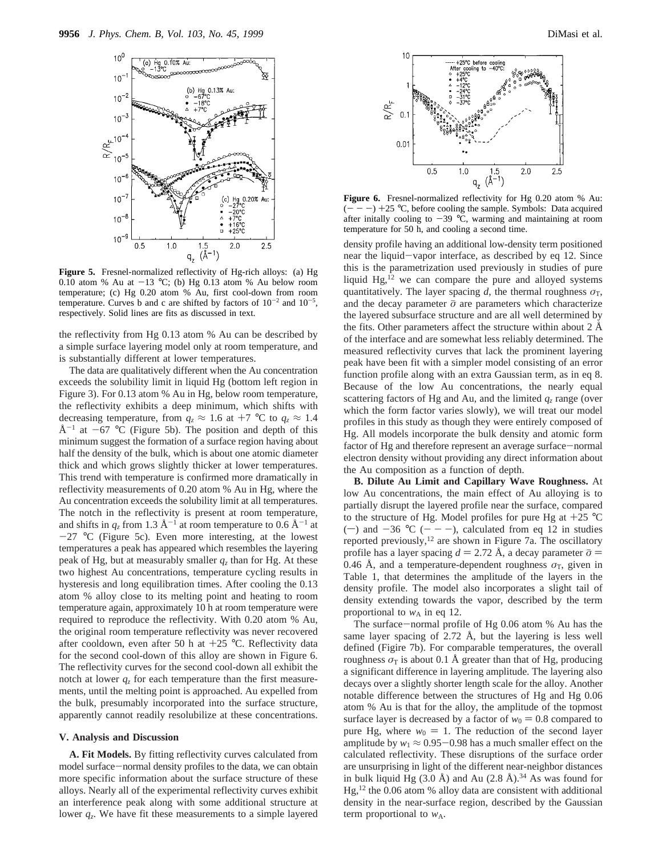

**Figure 5.** Fresnel-normalized reflectivity of Hg-rich alloys: (a) Hg 0.10 atom % Au at  $-13$  °C; (b) Hg 0.13 atom % Au below room temperature; (c) Hg 0.20 atom % Au, first cool-down from room temperature. Curves b and c are shifted by factors of  $10^{-2}$  and  $10^{-5}$ , respectively. Solid lines are fits as discussed in text.

the reflectivity from Hg 0.13 atom % Au can be described by a simple surface layering model only at room temperature, and is substantially different at lower temperatures.

The data are qualitatively different when the Au concentration exceeds the solubility limit in liquid Hg (bottom left region in Figure 3). For 0.13 atom % Au in Hg, below room temperature, the reflectivity exhibits a deep minimum, which shifts with decreasing temperature, from  $q_z \approx 1.6$  at  $+7$  °C to  $q_z \approx 1.4$  $\AA^{-1}$  at  $-67$  °C (Figure 5b). The position and depth of this minimum suggest the formation of a surface region having about half the density of the bulk, which is about one atomic diameter thick and which grows slightly thicker at lower temperatures. This trend with temperature is confirmed more dramatically in reflectivity measurements of 0.20 atom % Au in Hg, where the Au concentration exceeds the solubility limit at all temperatures. The notch in the reflectivity is present at room temperature, and shifts in  $q_z$  from 1.3  $\rm \AA^{-1}$  at room temperature to 0.6  $\rm \AA^{-1}$  at  $-27$  °C (Figure 5c). Even more interesting, at the lowest temperatures a peak has appeared which resembles the layering peak of Hg, but at measurably smaller  $q<sub>z</sub>$  than for Hg. At these two highest Au concentrations, temperature cycling results in hysteresis and long equilibration times. After cooling the 0.13 atom % alloy close to its melting point and heating to room temperature again, approximately 10 h at room temperature were required to reproduce the reflectivity. With 0.20 atom % Au, the original room temperature reflectivity was never recovered after cooldown, even after 50 h at  $+25$  °C. Reflectivity data for the second cool-down of this alloy are shown in Figure 6. The reflectivity curves for the second cool-down all exhibit the notch at lower  $q_z$  for each temperature than the first measurements, until the melting point is approached. Au expelled from the bulk, presumably incorporated into the surface structure, apparently cannot readily resolubilize at these concentrations.

#### **V. Analysis and Discussion**

**A. Fit Models.** By fitting reflectivity curves calculated from model surface-normal density profiles to the data, we can obtain more specific information about the surface structure of these alloys. Nearly all of the experimental reflectivity curves exhibit an interference peak along with some additional structure at lower  $q_z$ . We have fit these measurements to a simple layered



**Figure 6.** Fresnel-normalized reflectivity for Hg 0.20 atom % Au:  $(- - -) +25$  °C, before cooling the sample. Symbols: Data acquired after initally cooling to  $-39$  °C, warming and maintaining at room temperature for 50 h, and cooling a second time.

density profile having an additional low-density term positioned near the liquid-vapor interface, as described by eq 12. Since this is the parametrization used previously in studies of pure liquid Hg,12 we can compare the pure and alloyed systems quantitatively. The layer spacing  $d$ , the thermal roughness  $\sigma_T$ , and the decay parameter  $\bar{\sigma}$  are parameters which characterize the layered subsurface structure and are all well determined by the fits. Other parameters affect the structure within about 2 Å of the interface and are somewhat less reliably determined. The measured reflectivity curves that lack the prominent layering peak have been fit with a simpler model consisting of an error function profile along with an extra Gaussian term, as in eq 8. Because of the low Au concentrations, the nearly equal scattering factors of Hg and Au, and the limited  $q<sub>z</sub>$  range (over which the form factor varies slowly), we will treat our model profiles in this study as though they were entirely composed of Hg. All models incorporate the bulk density and atomic form factor of Hg and therefore represent an average surface-normal electron density without providing any direct information about the Au composition as a function of depth.

**B. Dilute Au Limit and Capillary Wave Roughness.** At low Au concentrations, the main effect of Au alloying is to partially disrupt the layered profile near the surface, compared to the structure of Hg. Model profiles for pure Hg at  $+25$  °C (-) and -36 °C (---), calculated from eq 12 in studies reported previously, $12$  are shown in Figure 7a. The oscillatory profile has a layer spacing  $d = 2.72 \text{ Å}$ , a decay parameter  $\bar{\sigma} =$ 0.46 Å, and a temperature-dependent roughness  $\sigma_T$ , given in Table 1, that determines the amplitude of the layers in the density profile. The model also incorporates a slight tail of density extending towards the vapor, described by the term proportional to  $w_A$  in eq 12.

The surface-normal profile of Hg 0.06 atom % Au has the same layer spacing of 2.72 Å, but the layering is less well defined (Figire 7b). For comparable temperatures, the overall roughness  $\sigma_{\rm T}$  is about 0.1 Å greater than that of Hg, producing a significant difference in layering amplitude. The layering also decays over a slightly shorter length scale for the alloy. Another notable difference between the structures of Hg and Hg 0.06 atom % Au is that for the alloy, the amplitude of the topmost surface layer is decreased by a factor of  $w_0 = 0.8$  compared to pure Hg, where  $w_0 = 1$ . The reduction of the second layer amplitude by  $w_1 \approx 0.95 - 0.98$  has a much smaller effect on the calculated reflectivity. These disruptions of the surface order are unsurprising in light of the different near-neighbor distances in bulk liquid Hg  $(3.0 \text{ Å})$  and Au  $(2.8 \text{ Å})$ .<sup>34</sup> As was found for Hg,12 the 0.06 atom % alloy data are consistent with additional density in the near-surface region, described by the Gaussian term proportional to  $w_A$ .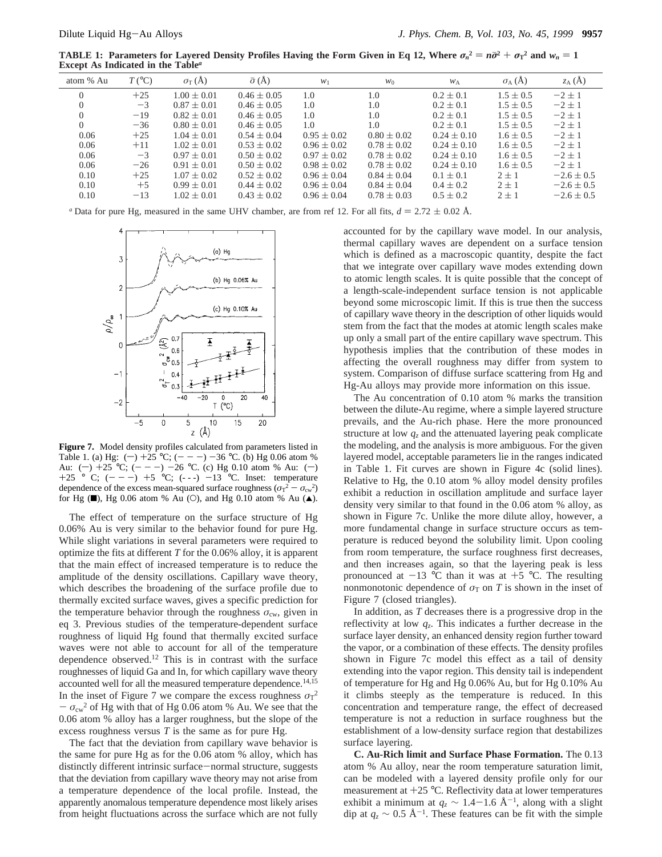**TABLE 1: Parameters for Layered Density Profiles Having the Form Given in Eq 12, Where**  $\sigma_n^2 = n\bar{\sigma}^2 + \sigma_{\rm T}^2$  **and**  $w_n = 1$  **Except As Indicated in the Table<sup>***a***</sup> Except As Indicated in the Table***<sup>a</sup>*

| atom % Au      | $T({}^{\circ}C)$ | $\sigma_{\rm T}(\check{A})$ | $\bar{\sigma}$ (Å) | $W_1$           | $W_0$           | $W_{\rm A}$     | $\sigma_{A}(\check{A})$ | $z_A$ (Å)      |
|----------------|------------------|-----------------------------|--------------------|-----------------|-----------------|-----------------|-------------------------|----------------|
| $\overline{0}$ | $+25$            | $1.00 \pm 0.01$             | $0.46 \pm 0.05$    | 1.0             | 1.0             | $0.2 \pm 0.1$   | $1.5 \pm 0.5$           | $-2+1$         |
| $\theta$       | $-3$             | $0.87 \pm 0.01$             | $0.46 \pm 0.05$    | 1.0             | 1.0             | $0.2 \pm 0.1$   | $1.5 \pm 0.5$           | $-2\pm 1$      |
| $\theta$       | $-19$            | $0.82 \pm 0.01$             | $0.46 \pm 0.05$    | 1.0             | 1.0             | $0.2 \pm 0.1$   | $1.5 \pm 0.5$           | $-2 \pm 1$     |
| $\overline{0}$ | $-36$            | $0.80 \pm 0.01$             | $0.46 \pm 0.05$    | 1.0             | 1.0             | $0.2 \pm 0.1$   | $1.5 \pm 0.5$           | $-2 \pm 1$     |
| 0.06           | $+25$            | $1.04 \pm 0.01$             | $0.54 \pm 0.04$    | $0.95 \pm 0.02$ | $0.80 \pm 0.02$ | $0.24 \pm 0.10$ | $1.6 \pm 0.5$           | $-2+1$         |
| 0.06           | $+11$            | $1.02 \pm 0.01$             | $0.53 \pm 0.02$    | $0.96 \pm 0.02$ | $0.78 \pm 0.02$ | $0.24 \pm 0.10$ | $1.6 \pm 0.5$           | $-2+1$         |
| 0.06           | $-3$             | $0.97 + 0.01$               | $0.50 \pm 0.02$    | $0.97 \pm 0.02$ | $0.78 \pm 0.02$ | $0.24 + 0.10$   | $1.6 \pm 0.5$           | $-2+1$         |
| 0.06           | $-26$            | $0.91 \pm 0.01$             | $0.50 \pm 0.02$    | $0.98 \pm 0.02$ | $0.78 \pm 0.02$ | $0.24 \pm 0.10$ | $1.6 \pm 0.5$           | $-2 \pm 1$     |
| 0.10           | $+25$            | $1.07 \pm 0.02$             | $0.52 \pm 0.02$    | $0.96 \pm 0.04$ | $0.84 \pm 0.04$ | $0.1 \pm 0.1$   | $2 \pm 1$               | $-2.6 \pm 0.5$ |
| 0.10           | $+5$             | $0.99 \pm 0.01$             | $0.44 \pm 0.02$    | $0.96 \pm 0.04$ | $0.84 \pm 0.04$ | $0.4 \pm 0.2$   | $2 \pm 1$               | $-2.6 + 0.5$   |
| 0.10           | $-13$            | $1.02 \pm 0.01$             | $0.43 \pm 0.02$    | $0.96 \pm 0.04$ | $0.78 \pm 0.03$ | $0.5 \pm 0.2$   | $2 \pm 1$               | $-2.6 \pm 0.5$ |
|                |                  |                             |                    |                 |                 |                 |                         |                |

*a* Data for pure Hg, measured in the same UHV chamber, are from ref 12. For all fits,  $d = 2.72 \pm 0.02$  Å.



**Figure 7.** Model density profiles calculated from parameters listed in Table 1. (a) Hg: (-) +25 °C; (---) -36 °C. (b) Hg 0.06 atom % Au: (-) +25 °C; (---) -26 °C. (c) Hg 0.10 atom % Au: (-) +25 ° C;  $(- - -)$  +5 °C;  $(- -)$  -13 °C. Inset: temperature dependence of the excess mean-squared surface roughness  $(\sigma_T^2 - \sigma_{\rm cw}^2)$ <br>for Hy ( $\blacksquare$ ) Hy 0.06 atom % Au ( $\bigcirc$ ) and Hy 0.10 atom % Au ( $\blacktriangle$ ) for Hg  $(\blacksquare)$ , Hg 0.06 atom % Au  $(O)$ , and Hg 0.10 atom % Au  $(\blacktriangle)$ .

The effect of temperature on the surface structure of Hg 0.06% Au is very similar to the behavior found for pure Hg. While slight variations in several parameters were required to optimize the fits at different *T* for the 0.06% alloy, it is apparent that the main effect of increased temperature is to reduce the amplitude of the density oscillations. Capillary wave theory, which describes the broadening of the surface profile due to thermally excited surface waves, gives a specific prediction for the temperature behavior through the roughness  $\sigma_{\text{cw}}$ , given in eq 3. Previous studies of the temperature-dependent surface roughness of liquid Hg found that thermally excited surface waves were not able to account for all of the temperature dependence observed.12 This is in contrast with the surface roughnesses of liquid Ga and In, for which capillary wave theory accounted well for all the measured temperature dependence.<sup>14,15</sup> In the inset of Figure 7 we compare the excess roughness  $\sigma_T^2$  $-\sigma_{\text{cw}}^2$  of Hg with that of Hg 0.06 atom % Au. We see that the 0.06 atom % alloy has a larger roughness, but the slope of the excess roughness versus *T* is the same as for pure Hg.

The fact that the deviation from capillary wave behavior is the same for pure Hg as for the 0.06 atom % alloy, which has distinctly different intrinsic surface-normal structure, suggests that the deviation from capillary wave theory may not arise from a temperature dependence of the local profile. Instead, the apparently anomalous temperature dependence most likely arises from height fluctuations across the surface which are not fully

accounted for by the capillary wave model. In our analysis, thermal capillary waves are dependent on a surface tension which is defined as a macroscopic quantity, despite the fact that we integrate over capillary wave modes extending down to atomic length scales. It is quite possible that the concept of a length-scale-independent surface tension is not applicable beyond some microscopic limit. If this is true then the success of capillary wave theory in the description of other liquids would stem from the fact that the modes at atomic length scales make up only a small part of the entire capillary wave spectrum. This hypothesis implies that the contribution of these modes in affecting the overall roughness may differ from system to system. Comparison of diffuse surface scattering from Hg and Hg-Au alloys may provide more information on this issue.

The Au concentration of 0.10 atom % marks the transition between the dilute-Au regime, where a simple layered structure prevails, and the Au-rich phase. Here the more pronounced structure at low  $q_z$  and the attenuated layering peak complicate the modeling, and the analysis is more ambiguous. For the given layered model, acceptable parameters lie in the ranges indicated in Table 1. Fit curves are shown in Figure 4c (solid lines). Relative to Hg, the 0.10 atom % alloy model density profiles exhibit a reduction in oscillation amplitude and surface layer density very similar to that found in the 0.06 atom % alloy, as shown in Figure 7c. Unlike the more dilute alloy, however, a more fundamental change in surface structure occurs as temperature is reduced beyond the solubility limit. Upon cooling from room temperature, the surface roughness first decreases, and then increases again, so that the layering peak is less pronounced at  $-13$  °C than it was at  $+5$  °C. The resulting nonmonotonic dependence of  $\sigma_T$  on *T* is shown in the inset of Figure 7 (closed triangles).

In addition, as *T* decreases there is a progressive drop in the reflectivity at low *qz*. This indicates a further decrease in the surface layer density, an enhanced density region further toward the vapor, or a combination of these effects. The density profiles shown in Figure 7c model this effect as a tail of density extending into the vapor region. This density tail is independent of temperature for Hg and Hg 0.06% Au, but for Hg 0.10% Au it climbs steeply as the temperature is reduced. In this concentration and temperature range, the effect of decreased temperature is not a reduction in surface roughness but the establishment of a low-density surface region that destabilizes surface layering.

**C. Au-Rich limit and Surface Phase Formation.** The 0.13 atom % Au alloy, near the room temperature saturation limit, can be modeled with a layered density profile only for our measurement at  $+25$  °C. Reflectivity data at lower temperatures exhibit a minimum at  $q_z \sim 1.4-1.6$  Å<sup>-1</sup>, along with a slight dip at  $q_z \sim 0.5 \text{ Å}^{-1}$ . These features can be fit with the simple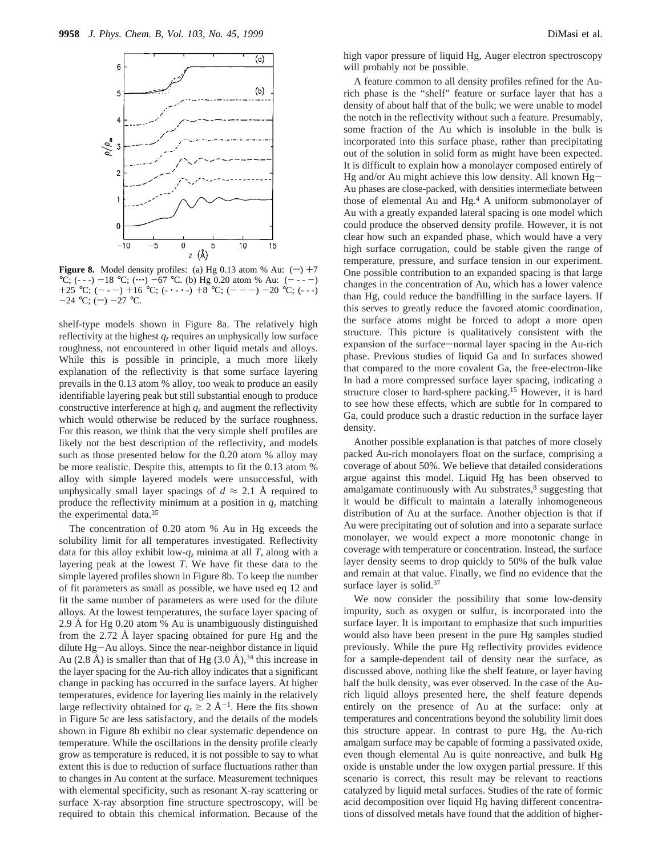

**Figure 8.** Model density profiles: (a) Hg 0.13 atom % Au:  $(-) +7$ °C; (---)  $-18$  °C; (…)  $-67$  °C. (b) Hg 0.20 atom % Au: (----)<br>+25 °C; (---) +16 °C; (-:-;) +8 °C; (---) -20 °C; (---) +25 °C; (- - -) +16 °C; (- · - · -) +8 °C; (- - -) -20 °C; (- - -)<br>-24 °C· (--) -27 °C  $-24$  °C; (-)  $-27$  °C.

shelf-type models shown in Figure 8a. The relatively high reflectivity at the highest  $q_z$  requires an unphysically low surface roughness, not encountered in other liquid metals and alloys. While this is possible in principle, a much more likely explanation of the reflectivity is that some surface layering prevails in the 0.13 atom % alloy, too weak to produce an easily identifiable layering peak but still substantial enough to produce constructive interference at high *qz* and augment the reflectivity which would otherwise be reduced by the surface roughness. For this reason, we think that the very simple shelf profiles are likely not the best description of the reflectivity, and models such as those presented below for the 0.20 atom % alloy may be more realistic. Despite this, attempts to fit the 0.13 atom % alloy with simple layered models were unsuccessful, with unphysically small layer spacings of  $d \approx 2.1$  Å required to produce the reflectivity minimum at a position in  $q_z$  matching the experimental data.35

The concentration of 0.20 atom % Au in Hg exceeds the solubility limit for all temperatures investigated. Reflectivity data for this alloy exhibit low-*qz* minima at all *T*, along with a layering peak at the lowest *T*. We have fit these data to the simple layered profiles shown in Figure 8b. To keep the number of fit parameters as small as possible, we have used eq 12 and fit the same number of parameters as were used for the dilute alloys. At the lowest temperatures, the surface layer spacing of 2.9 Å for Hg 0.20 atom % Au is unambiguously distinguished from the 2.72 Å layer spacing obtained for pure Hg and the dilute Hg-Au alloys. Since the near-neighbor distance in liquid Au (2.8 Å) is smaller than that of Hg (3.0 Å),<sup>34</sup> this increase in the layer spacing for the Au-rich alloy indicates that a significant change in packing has occurred in the surface layers. At higher temperatures, evidence for layering lies mainly in the relatively large reflectivity obtained for  $q_z \geq 2 \text{ Å}^{-1}$ . Here the fits shown in Figure 5c are less satisfactory, and the details of the models shown in Figure 8b exhibit no clear systematic dependence on temperature. While the oscillations in the density profile clearly grow as temperature is reduced, it is not possible to say to what extent this is due to reduction of surface fluctuations rather than to changes in Au content at the surface. Measurement techniques with elemental specificity, such as resonant X-ray scattering or surface X-ray absorption fine structure spectroscopy, will be required to obtain this chemical information. Because of the

high vapor pressure of liquid Hg, Auger electron spectroscopy will probably not be possible.

A feature common to all density profiles refined for the Aurich phase is the "shelf" feature or surface layer that has a density of about half that of the bulk; we were unable to model the notch in the reflectivity without such a feature. Presumably, some fraction of the Au which is insoluble in the bulk is incorporated into this surface phase, rather than precipitating out of the solution in solid form as might have been expected. It is difficult to explain how a monolayer composed entirely of Hg and/or Au might achieve this low density. All known Hg-Au phases are close-packed, with densities intermediate between those of elemental Au and Hg.<sup>4</sup> A uniform submonolayer of Au with a greatly expanded lateral spacing is one model which could produce the observed density profile. However, it is not clear how such an expanded phase, which would have a very high surface corrugation, could be stable given the range of temperature, pressure, and surface tension in our experiment. One possible contribution to an expanded spacing is that large changes in the concentration of Au, which has a lower valence than Hg, could reduce the bandfilling in the surface layers. If this serves to greatly reduce the favored atomic coordination, the surface atoms might be forced to adopt a more open structure. This picture is qualitatively consistent with the expansion of the surface-normal layer spacing in the Au-rich phase. Previous studies of liquid Ga and In surfaces showed that compared to the more covalent Ga, the free-electron-like In had a more compressed surface layer spacing, indicating a structure closer to hard-sphere packing.15 However, it is hard to see how these effects, which are subtle for In compared to Ga, could produce such a drastic reduction in the surface layer density.

Another possible explanation is that patches of more closely packed Au-rich monolayers float on the surface, comprising a coverage of about 50%. We believe that detailed considerations argue against this model. Liquid Hg has been observed to amalgamate continuously with Au substrates, $8$  suggesting that it would be difficult to maintain a laterally inhomogeneous distribution of Au at the surface. Another objection is that if Au were precipitating out of solution and into a separate surface monolayer, we would expect a more monotonic change in coverage with temperature or concentration. Instead, the surface layer density seems to drop quickly to 50% of the bulk value and remain at that value. Finally, we find no evidence that the surface layer is solid.<sup>37</sup>

We now consider the possibility that some low-density impurity, such as oxygen or sulfur, is incorporated into the surface layer. It is important to emphasize that such impurities would also have been present in the pure Hg samples studied previously. While the pure Hg reflectivity provides evidence for a sample-dependent tail of density near the surface, as discussed above, nothing like the shelf feature, or layer having half the bulk density, was ever observed. In the case of the Aurich liquid alloys presented here, the shelf feature depends entirely on the presence of Au at the surface: only at temperatures and concentrations beyond the solubility limit does this structure appear. In contrast to pure Hg, the Au-rich amalgam surface may be capable of forming a passivated oxide, even though elemental Au is quite nonreactive, and bulk Hg oxide is unstable under the low oxygen partial pressure. If this scenario is correct, this result may be relevant to reactions catalyzed by liquid metal surfaces. Studies of the rate of formic acid decomposition over liquid Hg having different concentrations of dissolved metals have found that the addition of higher